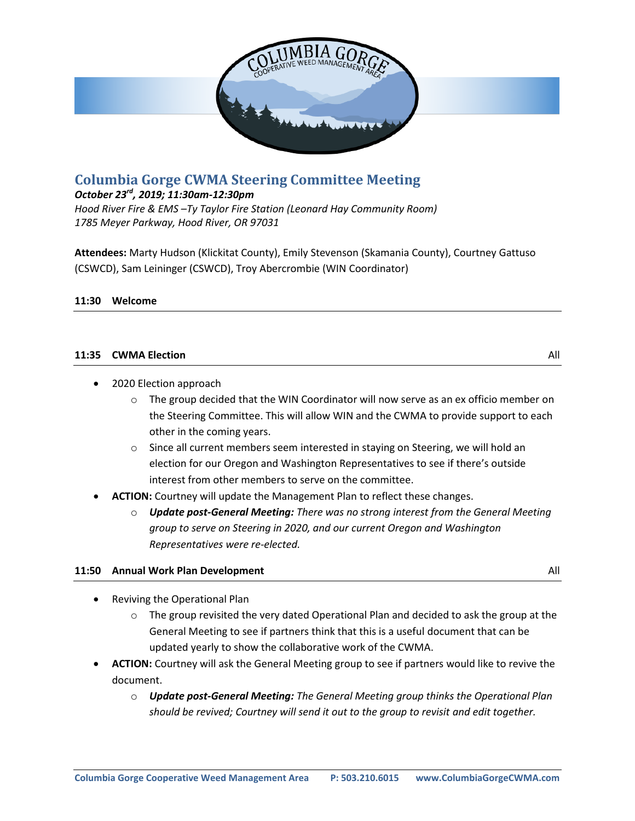

# **Columbia Gorge CWMA Steering Committee Meeting**

### *October 23rd, 2019; 11:30am-12:30pm*

*Hood River Fire & EMS –Ty Taylor Fire Station (Leonard Hay Community Room) 1785 Meyer Parkway, Hood River, OR 97031*

**Attendees:** Marty Hudson (Klickitat County), Emily Stevenson (Skamania County), Courtney Gattuso (CSWCD), Sam Leininger (CSWCD), Troy Abercrombie (WIN Coordinator)

#### **11:30 Welcome**

#### **11:35 CWMA Election** All

• 2020 Election approach

- $\circ$  The group decided that the WIN Coordinator will now serve as an ex officio member on the Steering Committee. This will allow WIN and the CWMA to provide support to each other in the coming years.
- $\circ$  Since all current members seem interested in staying on Steering, we will hold an election for our Oregon and Washington Representatives to see if there's outside interest from other members to serve on the committee.
- **ACTION:** Courtney will update the Management Plan to reflect these changes.
	- o *Update post-General Meeting: There was no strong interest from the General Meeting group to serve on Steering in 2020, and our current Oregon and Washington Representatives were re-elected.*

#### **11:50 Annual Work Plan Development** All

- Reviving the Operational Plan
	- $\circ$  The group revisited the very dated Operational Plan and decided to ask the group at the General Meeting to see if partners think that this is a useful document that can be updated yearly to show the collaborative work of the CWMA.
- **ACTION:** Courtney will ask the General Meeting group to see if partners would like to revive the document.
	- o *Update post-General Meeting: The General Meeting group thinks the Operational Plan should be revived; Courtney will send it out to the group to revisit and edit together.*